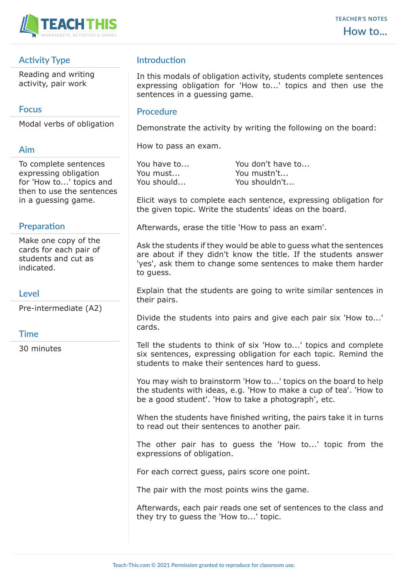

# **Activity Type**

Reading and writing activity, pair work

## **Focus**

Modal verbs of obligation

## **Aim**

To complete sentences expressing obligation for 'How to...' topics and then to use the sentences in a guessing game.

## **Preparation**

Make one copy of the cards for each pair of students and cut as indicated.

### **Level**

Pre-intermediate (A2)

### **Time**

30 minutes

# **Introduction**

In this modals of obligation activity, students complete sentences expressing obligation for 'How to...' topics and then use the sentences in a guessing game.

#### **Procedure**

Demonstrate the activity by writing the following on the board:

How to pass an exam.

You have to... You don't have to... You must... You mustn't... You should... You shouldn't...

Elicit ways to complete each sentence, expressing obligation for the given topic. Write the students' ideas on the board.

Afterwards, erase the title 'How to pass an exam'.

Ask the students if they would be able to guess what the sentences are about if they didn't know the title. If the students answer 'yes', ask them to change some sentences to make them harder to guess.

Explain that the students are going to write similar sentences in their pairs.

Divide the students into pairs and give each pair six 'How to...' cards.

Tell the students to think of six 'How to...' topics and complete six sentences, expressing obligation for each topic. Remind the students to make their sentences hard to guess.

You may wish to brainstorm 'How to...' topics on the board to help the students with ideas, e.g. 'How to make a cup of tea'. 'How to be a good student'. 'How to take a photograph', etc.

When the students have finished writing, the pairs take it in turns to read out their sentences to another pair.

The other pair has to guess the 'How to...' topic from the expressions of obligation.

For each correct guess, pairs score one point.

The pair with the most points wins the game.

Afterwards, each pair reads one set of sentences to the class and they try to guess the 'How to...' topic.